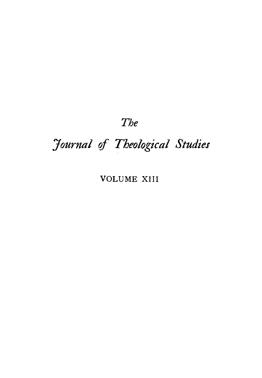# *The*

# *Journal of Theological Studies*

# VOLUME XIII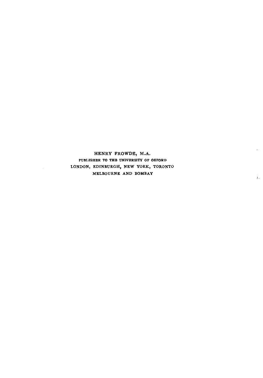HENRY FROWDE, M.A. PUBLISHER TO THE UNIVERSITY OF OXFORD LONDON, EDINBURGH, NEW YORK, TORONTO MELBOURNE AND BOMBAY

 $\mathcal{E}^{(1)}$ 

Ĵω.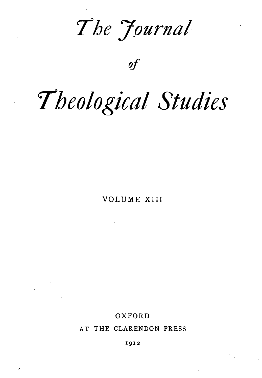*7he 7ournal* 

of

# *'Theological Studies*

VOLUME XIII

### OXFORD

AT THE CLARENDON PRESS

1912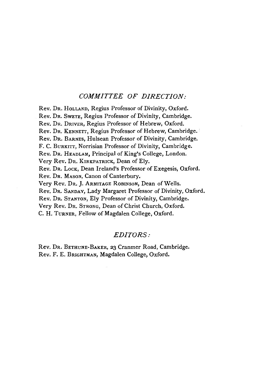#### *COMMITTEE OF DIRECTION:*

Rev. DR. HoLLAND, Regius Professor of Divinity, Oxford. Rev. DR. SwETE, Regius Professor of Divinity, Cambridge. Rev. DR. DRIVER, Regius Professor of Hebrew, Oxford. Rev. DR. KENNETT, Regius Professor of Hebrew, Cambridge. Rev. DR. BARNES, Hulsean Professor of Divinity, Cambridge. F. C. BuRKITT, Norrisian Professor of Divinity, Cambridge. Rev. DR. HEADLAM, Principal of King's College, London. Very Rev. DR. KIRKPATRICK, Dean of Ely. Rev. Dr. Lock, Dean Ireland's Professor of Exegesis, Oxford. Rev. Dr. MASON, Canon of Canterbury. Very Rev. DR. J. ARMITAGE RoBINSON, Dean of Wells. Rev. DR. SANDAY, Lady Margaret Professor of Divinity, Oxford. Rev. DR. SrANTON, Ely Professor of Divinity, Cambridge. Very Rev. DR. STRONG, Dean of Christ Church, Oxford. C. H. TuRNER, Fellow of Magdalen College, Oxford.

#### *EDITORS:*

Rev. DR. BETHUNE-BAKER, 23 Cranmer Road, Cambridge. Rev. F. E. BRIGHTMAN, Magdalen College, Oxford.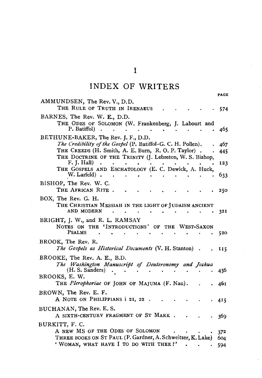# INDEX OF WRITERS

PAGE

| AMMUNDSEN, The Rev. V., D.D.<br>THE RULE OF TRUTH IN IRENAEUS                                                                                                                                                         | 574        |
|-----------------------------------------------------------------------------------------------------------------------------------------------------------------------------------------------------------------------|------------|
| BARNES, The Rev. W. E., D.D.                                                                                                                                                                                          |            |
| THE ODES OF SOLOMON (W. Frankenberg, J. Labourt and<br>P. Batiffol)                                                                                                                                                   | 465        |
| BETHUNE-BAKER, The Rev. J. F., D.D.<br>The Credibility of the Gospel (P. Batiffol-G. C. H. Pollen).<br>THE CREEDS (H. Smith, A. E. Burn, R. O. P. Taylor).<br>THE DOCTRINE OF THE TRINITY (J. Lebreton, W. S. Bishop, | 467<br>445 |
| F. J. Hall<br>$\ddot{\phantom{a}}$                                                                                                                                                                                    | 123        |
| THE GOSPELS AND ESCHATOLOGY (E. C. Dewick, A. Huck,<br>W. Larfeld).                                                                                                                                                   | 633        |
| BISHOP, The Rev. W. C.<br>THE AFRICAN RITE.                                                                                                                                                                           | 250        |
| BOX, The Rev. G. H.<br>THE CHRISTIAN MESSIAH IN THE LIGHT OF JUDAISM ANCIENT                                                                                                                                          |            |
| AND MODERN<br>BRIGHT, J. W., and R. L. RAMSAY                                                                                                                                                                         | 32 I       |
| NOTES ON THE 'INTRODUCTIONS' OF THE WEST-SAXON<br><b>PSALMS</b>                                                                                                                                                       | 520        |
| BROOK, The Rev. R.<br>The Gospels as Historical Documents (V. H. Stanton).                                                                                                                                            | 115        |
| BROOKE, The Rev. A. E., B.D.                                                                                                                                                                                          |            |
| The Washington Manuscript of Deuteronomy and Joshua<br>(H. S. Sanders)                                                                                                                                                | 456        |
| BROOKS, E. W.<br>THE <i>Plerophoriae</i> OF JOHN OF MAJUMA (F. Nau).                                                                                                                                                  | 46 I       |
| BROWN, The Rev. E. F.<br>A NOTE ON PHILIPPIANS i 21, 22.                                                                                                                                                              | 415        |
| BUCHANAN, The Rev. E. S.<br>A SIXTH-CENTURY FRAGMENT OF ST MARK.                                                                                                                                                      | 369        |
| BURKITT, F. C.                                                                                                                                                                                                        |            |
| A NEW MS OF THE ODES OF SOLOMON                                                                                                                                                                                       | 372        |
| THREE BOOKS ON ST PAUL (P. Gardner, A. Schweitzer, K. Lake)<br>' WOMAN, WHAT HAVE I TO DO WITH THEE?'                                                                                                                 | 604        |
|                                                                                                                                                                                                                       | 594        |

 $\mathbf I$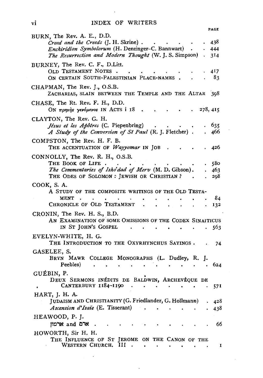|                                                                                                                                                                                          |    | <b>PAGE</b>       |
|------------------------------------------------------------------------------------------------------------------------------------------------------------------------------------------|----|-------------------|
| BURN, The Rev. A. E., D.D.<br>Creed and the Creeds (J. H. Skrine).<br><i>Enchiridion Symbolorum</i> (H. Denzinger-C. Bannwart)<br>The Resurrection and Modern Thought (W. J. S. Simpson) |    | 438<br>444<br>314 |
| BURNEY, The Rev. C. F., D.Litt.<br>OLD TESTAMENT NOTES.<br>ON CERTAIN SOUTH-PALESTINIAN PLACE-NAMES.                                                                                     |    | 417<br>83         |
| CHAPMAN, The Rev. J., O.S.B.<br>ZACHARIAS, SLAIN BETWEEN THE TEMPLE AND THE ALTAR                                                                                                        |    | 398               |
| CHASE, The Rt. Rev. F. H., D.D.<br>ON πρηνής γενόμενος IN ACTS i 18                                                                                                                      |    | 278, 415          |
| CLAYTON, The Rev. G. H.<br>Jésus et les Apôtres (C. Piepenbring)<br>A Study of the Conversion of St Paul (R. J. Fletcher).                                                               |    | 635<br>466        |
| COMPSTON, The Rev. H. F. B.<br>THE ACCENTUATION OF Wayyomar IN JOB                                                                                                                       |    | 426               |
| CONNOLLY, The Rev. R. H., O.S.B.<br>THE BOOK OF LIFE<br>The Commentaries of Isho'dad of Merv (M. D. Gibson).<br>THE ODES OF SOLOMON: JEWISH OR CHRISTIAN?                                |    | 580<br>463<br>298 |
| COOK, S. A.<br>A STUDY OF THE COMPOSITE WRITINGS OF THE OLD TESTA-<br>MENT<br>CHRONICLE OF OLD TESTAMENT                                                                                 |    | 84<br>132         |
| CRONIN, The Rev. H. S., B.D.<br>AN EXAMINATION OF SOME OMISSIONS OF THE CODEX SINAITICUS<br>IN ST JOHN'S GOSPEL                                                                          |    | 563               |
| EVELYN-WHITE, H. G.<br>THE INTRODUCTION TO THE OXYRHYNCHUS SAYINGS.                                                                                                                      |    | 74                |
| GASELEE, S.<br>BRYN MAWR COLLEGE MONOGRAPHS (L. Dudley, R.<br>Peebles)                                                                                                                   | ъ. | 624               |
| GUÉBIN, P.                                                                                                                                                                               |    |                   |

DEUX SERMONS INÉDITS DE BALDWIN, ARCHEVÊQUE DE CANTERBURY 1184-1190  $\cdot \cdot \cdot \cdot$  $57I$ HART, J. H. A. [UDAISM AND CHRISTIANITY (G. Friedlander, G. Hollmann) . 428 *Ascension d'Isaïe* (E. Tisserant) . . .  $\mathcal{L}$ 438  $\ddot{\phantom{a}}$  $\ddot{\phantom{a}}$  $\ddot{\phantom{0}}$ HEAWOOD, P. J. ארמון  $\mathbf a$  and  $\mathbf b$ 66  $\sim 10^{-11}$ **Contract Contract Contract Contract** ÷. ÷.  $\overline{a}$ HOWORTH, Sir H. H. THE INFLUENCE OF ST JEROME ON THE CANON OF THE WESTERN CHURCH. III . . . . . . . .

 $\ddot{\phantom{a}}$ 

 $\mathbf{I}$ 

 $\mathbf{vi}$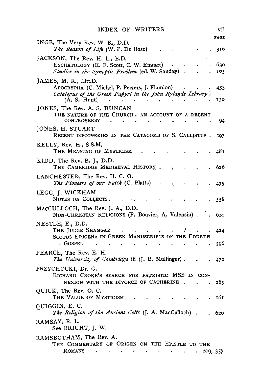|                                                                                                          | VII  |
|----------------------------------------------------------------------------------------------------------|------|
| INGE, The Very Rev. W. R., D.D.                                                                          | PAGE |
| The Reason of Life (W. P. Du Bose)                                                                       | 316  |
| JACKSON, The Rev. H. L., B.D.                                                                            |      |
| ESCHATOLOGY (E. F. Scott, C. W. Emmet)<br>$\bullet$                                                      | 630  |
| Studies in the Synoptic Problem (ed. W. Sanday).                                                         | 105  |
| JAMES, M. R., Litt.D.<br>APOCRYPHA (C. Michel, P. Peeters, J. Flamion)                                   | 433  |
| Catalogue of the Greek Papyri in the John Rylands Library i<br>(A, S, Hunt)<br>$\mathbf{A}$<br>$\bullet$ | 130  |
| JONES, The Rev. A. S. DUNCAN                                                                             |      |
| THE NATURE OF THE CHURCH: AN ACCOUNT OF A RECENT                                                         |      |
| <b>CONTROVERSY</b>                                                                                       | 94   |
| JONES, H. STUART                                                                                         |      |
| RECENT DISCOVERIES IN THE CATACOMB OF S. CALLISTUS.                                                      | 597  |
| KELLY, Rev. H., S.S.M.                                                                                   |      |
| THE MEANING OF MYSTICISM                                                                                 | 481  |
| KIDD, The Rev. B. J., D.D.                                                                               |      |
| THE CAMBRIDGE MEDIAEVAL HISTORY.                                                                         | 626  |
| LANCHESTER, The Rev. H. C. O.<br>The Pioneers of our Faith (C. Platts)                                   | 475  |
|                                                                                                          |      |
| LEGG, J. WICKHAM<br>NOTES ON COLLECTS.                                                                   | 558  |
| MACCULLOCH, The Rev. J. A., D.D.                                                                         |      |
| NON-CHRISTIAN RELIGIONS (F. Bouvier, A. Valensin).                                                       | 620  |
| NESTLE, E., D.D.                                                                                         |      |
| THE JUDGE SHAMGAR                                                                                        | 424  |
| SCOTUS ERIGENA IN GREEK MANUSCRIPTS OF THE FOURTH                                                        |      |
| GOSPEL                                                                                                   | 596  |
| PEARCE, The Rev. E. H.                                                                                   |      |
| The University of Cambridge iii (J. B. Mullinger).                                                       | 472  |
| PRZYCHOCKI, Dr. G.                                                                                       |      |
| RICHARD CROKE'S SEARCH FOR PATRISTIC MSS IN CON-                                                         |      |
| NEXION WITH THE DIVORCE OF CATHERINE.                                                                    | 285  |
| QUICK, The Rev. O. C.<br>THE VALUE OF MYSTICISM                                                          | 161  |
| QUIGGIN, E. C.                                                                                           |      |
| The Religion of the Ancient Celts (J. A. MacCulloch).                                                    | 620  |
| RAMSAY, R. L.                                                                                            |      |
| See BRIGHT, J. W.                                                                                        |      |
| RAMSBOTHAM, The Rev. A.                                                                                  |      |
| THE COMMENTARY OF ORIGEN ON THE EPISTLE TO THE                                                           |      |
|                                                                                                          |      |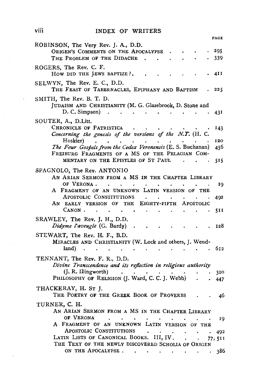#### viii INDEX OF WRITERS

| PACE                                                                                                                                                                                                                                                                                   |
|----------------------------------------------------------------------------------------------------------------------------------------------------------------------------------------------------------------------------------------------------------------------------------------|
| ROBINSON, The Very Rev. J. A., D.D.<br>ORIGEN'S COMMENTS ON THE APOCALYPSE<br>295<br>THE PROBLEM OF THE DIDACHE.<br>339<br>$\sim 100$                                                                                                                                                  |
| ROGERS, The Rev. C. F.<br>How DID THE JEWS BAPTIZE ?.<br>4I I<br>$\sim$                                                                                                                                                                                                                |
| SELWYN, The Rev. E. C., D.D.<br>THE FEAST OF TABERNACLES, EPIPHANY AND BAPTISM<br>225                                                                                                                                                                                                  |
| SMITH, The Rev. B. T. D.<br>JUDAISM AND CHRISTIANITY (M. G. Glazebrook, D. Stone and<br>$D. C. Simpson$ $\ldots$<br>431<br>$\bullet$ $\bullet$ $\bullet$ $\bullet$<br>$\bullet$                                                                                                        |
| SOUTER, A., D.Litt.<br>CHRONICLE OF PATRISTICA<br>143<br>Concerning the genesis of the versions of the N.T. (H. C.<br>Hoskier)<br>120<br>$\sim$ $\sim$ $\sim$<br>The Four Gospels from the Codex Veronensis (E. S. Buchanan)<br>456<br>FREIBURG FRAGMENTS OF A MS OF THE PELAGIAN COM- |
| MENTARY ON THE EPISTLES OF ST PAUL<br>515                                                                                                                                                                                                                                              |
| SPAGNOLO, The Rev. ANTONIO<br>AN ARIAN SERMON FROM A MS IN THE CHAPTER LIBRARY<br>OF VERONA.<br>$\sim$ $\sim$ $\sim$<br>$\ddot{\phantom{1}}$<br>19                                                                                                                                     |
| A FRAGMENT OF AN UNKNOWN LATIN VERSION OF THE<br>APOSTOLIC CONSTITUTIONS .<br>492<br>$\bullet$<br>$\bullet$<br>$\bullet$                                                                                                                                                               |
| AN EARLY VERSION OF THE EIGHTY-FIFTH APOSTOLIC<br>CANON.<br>$\sim 100$<br>511<br>$\sim$<br>$\ddot{\phantom{0}}$<br>$\sim 10^{-11}$<br>$\sim 100$ km s $^{-1}$<br>$\sim$ $-$                                                                                                            |
| SRAWLEY, The Rev. J. H., D.D.<br>Didyme l'aveugle (G. Bardy)<br>- 128<br>$\blacksquare$<br><b>Contract Contract Advised Associate</b>                                                                                                                                                  |
| STEWART, The Rev. H. F., B.D.<br>MIRACLES AND CHRISTIANITY (W. Lock and others, J. Wend-<br>land)<br>612<br>the contract of the contract of the<br>$\mathcal{L}(\mathbf{x})$ . The contribution of the contribution of $\mathcal{L}(\mathbf{x})$<br>$\sim$ $\sim$                      |
| TENNANT, The Rev. F. R., D.D.<br>Divine Transcendence and its reflection in religious authority                                                                                                                                                                                        |
| (J. R. Illingworth)<br>310<br>PHILOSOPHY OF RELIGION (J. Ward, C. C. J. Webb)<br>447                                                                                                                                                                                                   |
| THACKERAY, H. ST J.<br>THE POETRY OF THE GREEK BOOK OF PROVERBS<br>46                                                                                                                                                                                                                  |
| TURNER, C. H.<br>AN ARIAN SERMON FROM A MS IN THE CHAPTER LIBRARY                                                                                                                                                                                                                      |
| OF VERONA<br>$\sim 10$<br>$\bullet$ .<br>$\bullet$<br>$\mathbf{r}$<br>19<br>A FRAGMENT OF AN UNKNOWN LATIN VERSION OF THE                                                                                                                                                              |
| APOSTOLIC CONSTITUTIONS .<br>492                                                                                                                                                                                                                                                       |
| LATIN LISTS OF CANONICAL BOOKS. III, IV.<br>77, 511<br>THE TEXT OF THE NEWLY DISCOVERED SCHOLIA OF ORIGEN                                                                                                                                                                              |
| ON THE APOCALVESE.<br>286.                                                                                                                                                                                                                                                             |

 $\ddot{\phantom{a}}$ 

 $\overline{a}$ 

l,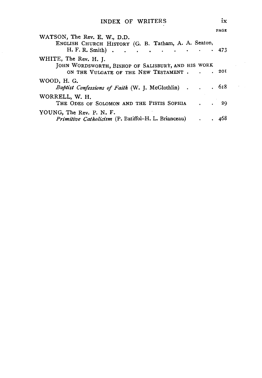|                                                                                                                     | PAGE              |
|---------------------------------------------------------------------------------------------------------------------|-------------------|
| WATSON, The Rev. E. W., D.D.<br>ENGLISH CHURCH HISTORY (G. B. Tatham, A. A. Seaton,<br>H. F. R. Smith)              | .473              |
| WHITE, The Rev. H. J.<br>JOHN WORDSWORTH, BISHOP OF SALISBURY, AND HIS WORK<br>ON THE VULGATE OF THE NEW TESTAMENT. | . 201             |
| WOOD, H. G.<br>Baptist Confessions of Faith (W. J. McGlothlin) 618                                                  |                   |
| WORRELL, W. H.<br>THE ODES OF SOLOMON AND THE PISTIS SOPHIA                                                         | - 29<br>$\bullet$ |
| YOUNG, The Rev. P. N. F.<br>Primitive Catholicism (P. Batiffol-H. L. Brianceau)                                     | 468               |

 $\chi^2 \sim 2$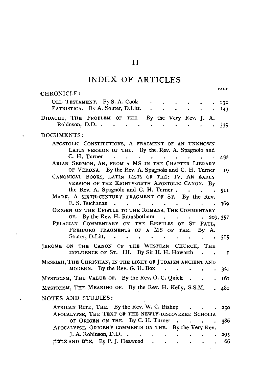# INDEX OF ARTICLES

 $\ddot{\phantom{0}}$ 

 $\ddot{\phantom{0}}$ 

| <b>PAGE</b><br>CHRONICLE:                                                                                                                                                                                                               |  |
|-----------------------------------------------------------------------------------------------------------------------------------------------------------------------------------------------------------------------------------------|--|
| OLD TESTAMENT. By S.A.Cook.<br>132                                                                                                                                                                                                      |  |
| PATRISTICA. By A. Souter, D. Litt. .<br>and the state of the state<br>143                                                                                                                                                               |  |
| DIDACHE, THE PROBLEM OF THE. By the Very Rev. J. A.<br>Robinson, D.D<br>$\ddot{\phantom{0}}$<br>339<br>$\bullet$                                                                                                                        |  |
| DOCUMENTS:                                                                                                                                                                                                                              |  |
| APOSTOLIC CONSTITUTIONS, A FRAGMENT OF AN UNKNOWN<br>LATIN VERSION OF THE. By the Rev. A. Spagnolo and                                                                                                                                  |  |
| C. H. Turner<br>$\sim$ $\sim$<br>$\mathcal{A}$ , and $\mathcal{A}$ , and $\mathcal{A}$ , and $\mathcal{A}$ , and $\mathcal{A}$ , and $\mathcal{A}$<br>$\ddot{\phantom{0}}$<br>492<br>ARIAN SERMON, AN, FROM A MS IN THE CHAPTER LIBRARY |  |
| OF VERONA. By the Rev. A. Spagnolo and C. H. Turner<br>19                                                                                                                                                                               |  |
| CANONICAL BOOKS, LATIN LISTS OF THE: IV. AN EARLY<br>VERSION OF THE EIGHTY-FIFTH APOSTOLIC CANON. By                                                                                                                                    |  |
| the Rev. A. Spagnolo and C. H. Turner<br>511                                                                                                                                                                                            |  |
| MARK, A SIXTH-CENTURY FRAGMENT OF ST. By the Rev.                                                                                                                                                                                       |  |
| E.S. Buchanan.<br>369<br>ORIGEN ON THE EPISTLE TO THE ROMANS, THE COMMENTARY                                                                                                                                                            |  |
| OF. By the Rev. H. Ramsbotham.<br>209, 357                                                                                                                                                                                              |  |
| PELAGIAN COMMENTARY ON THE EPISTLES OF ST PAUL,                                                                                                                                                                                         |  |
| FREIBURG FRAGMENTS OF A MS OF THE.<br>By A.                                                                                                                                                                                             |  |
| Souter, D.Litt.<br>$\ddot{\phantom{a}}$<br>. 515<br>$\ddot{\phantom{0}}$<br>$\bullet$                                                                                                                                                   |  |
| JEROME ON THE CANON OF THE WESTERN CHURCH, THE<br>INFLUENCE OF ST. III. By Sir H. H. Howarth.<br>$\mathbf{I}$<br>$\bullet$                                                                                                              |  |
| MESSIAH, THE CHRISTIAN, IN THE LIGHT OF JUDAISM ANCIENT AND                                                                                                                                                                             |  |
| MODERN. By the Rev. G. H. Box $\cdot$ $\cdot$<br>321                                                                                                                                                                                    |  |
| MYSTICISM, THE VALUE OF. By the Rev. O. C. Quick $\blacksquare$<br>161                                                                                                                                                                  |  |
|                                                                                                                                                                                                                                         |  |
| MYSTICISM, THE MEANING OF. By the Rev. H. Kelly, S.S.M.<br>481<br>$\mathbf{r}$                                                                                                                                                          |  |
| NOTES AND STUDIES:                                                                                                                                                                                                                      |  |
| AFRICAN RITE, THE. By the Rev. W. C. Bishop.<br>250                                                                                                                                                                                     |  |
| APOCALYPSE, THE TEXT OF THE NEWLY-DISCOVERED SCHOLIA<br>OF ORIGEN ON THE. By C. H. Turner.                                                                                                                                              |  |
| 386<br>$\mathbf{r}$<br>$\bullet$<br>APOCALYPSE, ORIGEN'S COMMENTS ON THE. By the Very Rev.                                                                                                                                              |  |
| J. A. Robinson, D.D. $\cdot$ $\cdot$<br>295<br>$\bullet$ .<br><br><br><br><br><br><br><br><br><br><br><br><br>                                                                                                                          |  |
| ארמון AND ארם. By P. J. Heawood<br>66<br>$\bullet$ , and $\bullet$ , and $\bullet$                                                                                                                                                      |  |

II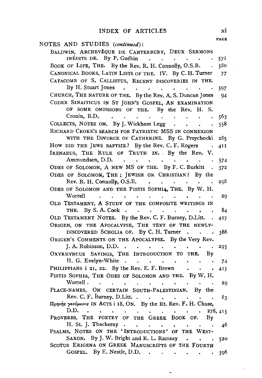|                                                                                                                              | PAGE       |
|------------------------------------------------------------------------------------------------------------------------------|------------|
| NOTES AND STUDIES (continued):                                                                                               |            |
| BALDWIN, ARCHEVÊQUE DE CANTERBURY, DEUX SERMONS                                                                              |            |
| INÉDITS DE. By P. Guébin<br><b>Contract Contract</b><br>$\sim$<br>$\sim 100$ km s $^{-1}$                                    | 571        |
| BOOK OF LIFE, THE. By the Rev. R. H. Connolly, O.S.B.<br>$\mathcal{L}_{\bullet}$                                             | 580        |
| CANONICAL BOOKS, LATIN LISTS OF THE. IV. By C. H. Turner                                                                     | 77         |
| CATACOMB OF S. CALLISTUS, RECENT DISCOVERIES IN THE.                                                                         |            |
| By H. Stuart Jones<br>$\ddot{\phantom{0}}$                                                                                   | 597        |
| CHURCH, THE NATURE OF THE. By the Rev. A. S. Duncan Jones                                                                    | 94         |
| CODEX SINAITICUS IN ST JOHN'S GOSPEL, AN EXAMINATION                                                                         |            |
| OF SOME OMISSIONS OF THE. By the Rev. H.<br>S.<br>Cronin, B.D.                                                               |            |
| <b>Contract Contract Contract</b><br>$\ddot{\phantom{0}}$<br>$\bullet$ . $\bullet$<br>COLLECTS, NOTES ON. By J. Wickham Legg | 563<br>558 |
| RICHARD CROKE'S SEARCH FOR PATRISTIC MSS IN CONNEXION                                                                        |            |
| WITH THE DIVORCE OF CATHERINE. By G. Przychocki                                                                              | 285        |
| How DID THE JEWS BAPTIZE? By the Rev. C. F. Rogers .                                                                         | 41 I       |
| IRENAEUS, THE RULE OF TRUTH IN. By the Rev. V.                                                                               |            |
| Ammundsen, D.D.<br>$\sim$                                                                                                    | 574        |
| ODES OF SOLOMON, A NEW MS OF THE. By F. C. Burkitt                                                                           | 372        |
| ODES OF SOLOMON, THE ; JEWISH OR CHRISTIAN? By the                                                                           |            |
| Rev. R. H. Connolly, O.S.B.                                                                                                  | 298        |
| ODES OF SOLOMON AND THE PISTIS SOPHIA, THE. By W. H.                                                                         |            |
| Worrell                                                                                                                      | 29         |
| OLD TESTAMENT, A STUDY OF THE COMPOSITE WRITINGS IN                                                                          |            |
| THE. By S.A.Cook                                                                                                             | 84         |
| OLD TESTAMENT NOTES. By the Rev. C. F. Burney, D.Litt. .                                                                     | 417        |
| ORIGEN, ON THE APOCALYPSE, THE TEXT OF THE NEWLY-                                                                            |            |
| DISCOVERED SCHOLIA OF. By C. H. Turner                                                                                       | 386        |
| ORIGEN'S COMMENTS ON THE APOCALYPSE. By the Very Rev.                                                                        |            |
| J. A. Robinson, D.D. $\cdot \cdot \cdot \cdot \cdot$<br>OXYRHYNCUS SAYINGS, THE INTRODUCTION TO THE. By                      | 295        |
| H. G. Evelyn-White<br>$\mathcal{A}^{\text{max}}$ and $\mathcal{A}^{\text{max}}$<br>$\sim$                                    | 74         |
| PHILIPPIANS i 21, 22. By the Rev. E. F. Brown<br>$\mathcal{L}_{\mathbf{z}}$                                                  | 415        |
| PISTIS SOPHIA, THE ODES OF SOLOMON AND THE. By W. H.                                                                         |            |
| Worrell.<br>$\sim$ $\sim$<br>$\sim$<br>$\ddot{\phantom{0}}$                                                                  | 29         |
| PLACE-NAMES, ON CERTAIN SOUTH-PALESTINIAN. By the                                                                            |            |
| Rev. C. F. Burney, D. Litt.                                                                                                  | 83         |
| Πρηνής γενόμενος IN ACTS i 18, ON. By the Rt. Rev. F. H. Chase,                                                              |            |
| D.D.<br>$\sim$ $\bullet$<br>$\ddot{\phantom{1}}$<br>$\blacksquare$<br><b>Contract Contract Contract</b>                      | 278, 415   |
| PROVERBS, THE POETRY OF THE GREEK BOOK OF. By                                                                                |            |
| H. St. J. Thackeray.<br>$\sim$ $\sim$ $\sim$                                                                                 | 46         |
| PSALMS, NOTES ON THE 'INTRODUCTIONS' OF THE WEST-                                                                            |            |
| SAXON. By J. W. Bright and R. L. Ramsay<br>$\sim$<br>SCOTUS ERIGENA ON GREEK MANUSCRIPTS OF THE FOURTH                       | 520        |
| GOSPEL. By E. Nestle, D.D.<br>$\bullet$ .                                                                                    | 596        |
| $\bullet$ - $\bullet$ - $\bullet$ -<br>$\bullet$ , and $\bullet$ , and $\bullet$                                             |            |

 $\ddot{\phantom{0}}$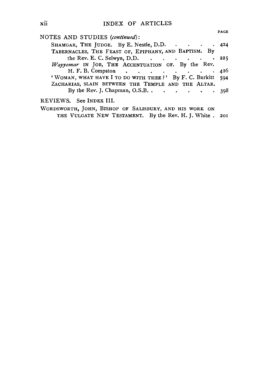|                                                             | <b>PAGE</b> |
|-------------------------------------------------------------|-------------|
| NOTES AND STUDIES (continued):                              |             |
| SHAMGAR, THE JUDGE. By E. Nestle, D.D. 424                  |             |
| TABERNACLES, THE FEAST OF, EPIPHANY, AND BAPTISM. By        |             |
| the Rev. E. C. Selwyn, D.D. $\cdot \cdot \cdot \cdot \cdot$ | . 225       |
| Wayyomar IN JOB, THE ACCENTUATION OF. By the Rev.           |             |
| H. F. B. Compston                                           | 426         |
| 'WOMAN, WHAT HAVE I TO DO WITH THEE ?' By F. C. Burkitt 594 |             |
| ZACHARIAS, SLAIN BETWEEN THE TEMPLE AND THE ALTAR.          |             |
| By the Rev. J. Chapman, O.S.B. $\cdot \cdot \cdot \cdot$    | -398        |
| REVIEWS. See INDEX III.                                     |             |
| WORDSWORTH, JOHN, BISHOP OF SALISBURY, AND HIS WORK ON      |             |
| THE VULGATE NEW TESTAMENT. By the Rev. H. J. White. 201     |             |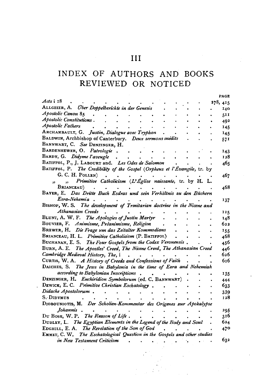# INDEX OF AUTHORS AND BOOKS REVIEWED OR NOTICED

|                                                                           |  | PACE       |
|---------------------------------------------------------------------------|--|------------|
| Acts i 18                                                                 |  | 278, 415   |
| ALLGEIER, A. Uber Doppelberichte in der Genesis                           |  | 140        |
| Apostolic Canon 85                                                        |  | 511        |
| Apostolic Constitutions.                                                  |  | 492        |
| Apostolic Fathers                                                         |  | 145        |
| ARCHAMBAULT, G. Justin, Dialogue avec Tryphon                             |  | 145        |
| BALDWIN, Archbishop of Canterbury. Deux sermons inédits                   |  | 571        |
| BANNWART, C. See DENZINGER, H.                                            |  |            |
| BARDENHEWER, O. Patrologie.                                               |  | 143        |
| BARDY, G. Didyme l'aveugle                                                |  | 128        |
| BATIFFOL, P., J. LABOURT and. Les Odes de Salomon                         |  | 465        |
| BATIFFOL, P. The Credibility of the Gospel (Orpheus et l'Évangile, tr. by |  |            |
| G. C. H. POLLEN)                                                          |  | 467        |
| Primitive Catholicism (L'Église naissante, tr. by H. L.                   |  |            |
| BRIANCEAU)                                                                |  | 468        |
| BAYER, E. Das Dritte Buch Esdras und sein Verhältnis zu den Büchern       |  |            |
| Esra-Nehemia                                                              |  | 137        |
| BISHOP, W. S. The development of Trinitarian doctrine in the Nicene and   |  |            |
| Athanasian Creeds                                                         |  | 125        |
| BLUNT, A. W. F. The Apologies of Justin Martyr                            |  | 148        |
| BOUVIER, F. Animisme, Préanimisme, Religion                               |  | 622        |
| BREWER, H. Die Frage um das Zeitalter Kommodians                          |  |            |
| BRIANCEAU, H. L. Primitive Catholicism (P. BATIFFOL)                      |  | 155<br>468 |
| BUCHANAN, E. S. The Four Gospels from the Codex Veronensis.               |  |            |
| BURN, A. E. The Apostles' Creed, The Nicene Creed, The Athanasian Creed   |  | 456        |
|                                                                           |  | 446<br>626 |
| Cambridge Medieval History, The, i                                        |  | 616        |
| CURTIS, W. A. A History of Creeds and Confessions of Faith                |  |            |
| DAICHES, S. The Jews in Babylonia in the time of Ezra and Nehemiah        |  |            |
| according to Babylonian Inscriptions                                      |  | 135        |
| DENZINGER, H. Enchiridion Symbolorum (ed. C. BANNWART)                    |  | 444        |
| DEWICK, E. C. Primitive Christian Eschatology.                            |  | 633        |
| Didache Apostolorum.                                                      |  | 339        |
| S. Didymus                                                                |  | 128        |
| DIOBOUNIOTIS, M. Der Scholien-Kommentar des Origenes zur Apokalypse       |  |            |
| Johannis.                                                                 |  | 295        |
| Du Bosr, W. P. The Reason of Life.                                        |  | 316        |
| DUDLEY, L. The Egyptian Elements in the Legend of the Body and Soul       |  | 624        |
| EDGHILL, E. A. The Revelation of the Son of God                           |  | 470        |
| EMMET, C. W. The Eschatological Question in the Gospels and other studies |  |            |
| in New Testament Criticism                                                |  | 632        |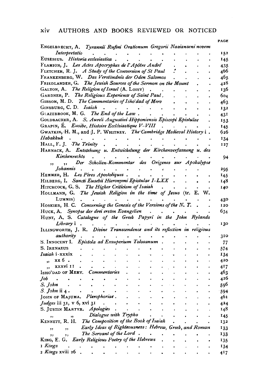#### xiv AUTHORS AND BOOKS REVIEWED OR NOTICED

|                                                                                                           | PAGE |
|-----------------------------------------------------------------------------------------------------------|------|
| ENGELBRECHT, A. Tyrannii Rufini Orationum Gregorii Nasianzeni novem                                       |      |
| Interpretatio                                                                                             | 152  |
| EUSEBIUS. Historia ecclesiastica.                                                                         | 145  |
| FLAMION, J. Les Actes Apocryphes de l'Apôtre André                                                        | 435  |
| FLETCHER, R. J. A Study of the Conversion of St Paul                                                      | 466  |
| FRANKENBERG, W. Das Verständnis der Oden Salomos                                                          | 465  |
| FRIEDLANDER, G. The Jewish Sources of the Sermon on the Mount                                             | 428  |
| GALTON, A. The Religion of Israel (A. LOISY)                                                              | 136  |
| GARDNER, P. The Religious Experience of Saint Paul.                                                       | 604  |
| GIBSON, M. D. The Commentaries of Isho'dad of Merv                                                        | 463  |
| GINSBURG, C. D. Isaiah<br>$\bullet$ .<br><br><br><br><br><br><br><br><br><br><br><br><br><br><br><br><br> | 132  |
| GLAZEBROOK, M. G. The End of the Law.                                                                     | 431  |
| GOLDBACHER, A. S. Aureli Augustini Hipponiensis Episcopi Epistulae                                        | 153  |
| GRAPIN, E. Eusèbe, Histoire Ecclésiastique V-VIII                                                         | 145  |
| GWATKIN, H. M., and J. P. WHITNEY. The Cambridge Medieval History i.                                      | 626  |
| Habakkuk                                                                                                  | 134  |
| HALL, F. J. The Trinity                                                                                   | I27  |
| HARNACK, A. Entstehung u. Entwickelung der Kirchenverfassung u. des                                       |      |
| Kirchenrechts                                                                                             | 94   |
| Der Scholien-Kommentar des Origenes sur Apokalypse<br>,,<br>,,                                            |      |
| Johannis                                                                                                  | 295  |
| HEMMER, H. Les Pères Apostoliques.                                                                        | 145  |
| HILBERG, I. Sancti Eusebii Hieronymi Epistulae I-LXX                                                      | 148  |
| HITCHCOCK, G. S. The Higher Criticism of Isaiah                                                           | 140  |
| HOLLMANN, G. The Jewish Religion in the time of Jesus (tr. E. W.                                          |      |
| Lummis)                                                                                                   | 430  |
| HOSKIER, H. C. Concerning the Genesis of the Versions of the $N$ . $T$ .                                  | 120  |
| HUCK, A. Synopse der drei ersten Evangelien                                                               | 634  |
| HUNT, A. S. Catalogue of the Greek Papyri in the John Rylands                                             |      |
| Library i.                                                                                                | 130  |
| ILLINGWORTH, J. R. Divine Transcendence and its reflection in religious                                   |      |
| authority                                                                                                 | 310  |
| S. INNOCENT I. Epistola ad Exsuperium Tolosanum                                                           | 77   |
| S. IRENAEUS                                                                                               | 574  |
| Isaiah i-xxxix                                                                                            | 134  |
| "xx6.                                                                                                     | 420  |
| ,, xxxvi II.                                                                                              | 417  |
| ISHO'DAD OF MERV. Commentaries                                                                            | 463  |
| $Job \t.$                                                                                                 | 426  |
| S. John                                                                                                   | 590  |
| <i>S. John</i> ii 4 .                                                                                     | 594  |
| JOHN OF MAJUMA. Plerophoriae.                                                                             | 461  |
| Judges iii 31, v 6, xvi 31<br>$\ddot{\phantom{0}}$                                                        | 424  |
| S. JUSTIN MARTYR. Apologies                                                                               | 148  |
| Dialogue with Trypho<br>,                                                                                 | 145  |
| KENNETT, R. H. The Composition of the Book of Isaiah                                                      | 132  |
| Early Ideas of Righteousness: Hebrew, Greek, and Roman<br>,<br>,,                                         | 133  |
| The Servant of the Lord.<br>,,                                                                            | 133  |
| KING, E. G. Early Religious Poetry of the Hebrews                                                         | 135  |
| 1 Kings                                                                                                   | 134  |
| 2 Kings xviii 26                                                                                          | 417  |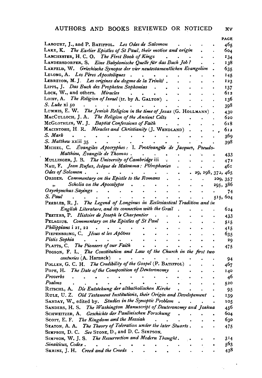$x\overline{v}$ 

 $\label{eq:2.1} \frac{1}{\sqrt{2}}\int_{\mathbb{R}^3}\frac{1}{\sqrt{2}}\left(\frac{1}{\sqrt{2}}\right)^2\frac{1}{\sqrt{2}}\left(\frac{1}{\sqrt{2}}\right)^2\frac{1}{\sqrt{2}}\left(\frac{1}{\sqrt{2}}\right)^2\frac{1}{\sqrt{2}}\left(\frac{1}{\sqrt{2}}\right)^2.$ 

|                                                                          |           |                 |                      | PAGE                |
|--------------------------------------------------------------------------|-----------|-----------------|----------------------|---------------------|
| LABOURT, J., and P. BATIFFOL. Les Odes de Salomon                        |           |                 |                      | 465                 |
| LAKE, K. The Earlier Epistles of St Paul, their motive and origin        |           |                 |                      | 604                 |
| LANCHESTER, H. C. O. The First Book of Kings                             |           |                 |                      | 134                 |
| LANDERSDORFER, S. Eine Babylonische Quelle für das Buch Job?             |           |                 |                      | 138                 |
| LARFELD, W. Griechische Synopse der vier neutestamentlichen Evangelien   |           |                 |                      | 635                 |
| LELONG, A. Les Pères Apostoliques<br>$\sim$                              |           |                 |                      | <b>145</b>          |
| LEBRETON, M. J. Les origines du dogme de la Trinité.                     |           |                 |                      | 123                 |
| LIPPL, J. Das Buch des Propheten Sophonias.                              |           |                 |                      | 137                 |
| LOCK, W., and others. Miracles                                           |           |                 |                      | 612                 |
| LOISY, A. The Religion of Israel (tr. by A. GALTON).                     |           |                 |                      | 136                 |
| S. Luke xi 50                                                            |           |                 |                      | 398                 |
| LUMMIS, E. W. The Jewish Religion in the time of Jesus (G. HOLLMANN).    |           |                 |                      | 430                 |
| MACCULLOCH, J. A. The Religion of the Ancient Celts                      |           |                 |                      | 620                 |
| MCGLOTHLIN, W. J. Baptist Confessions of Faith<br>$\sim$                 |           |                 |                      | 618                 |
| MACINTOSH, H. R. Miracles and Christianity (J. WENDLAND).                |           |                 |                      | 612                 |
| S. Mark                                                                  |           |                 |                      | 369                 |
| S. Matthew xxiii 35                                                      |           |                 |                      | 398                 |
| MICHEL, C. Évangiles Apocryphes : I. Protévangile de Jacques, Pseudo-    |           |                 |                      |                     |
| Matthieu, Évangile de Thomas.                                            |           |                 |                      | 433                 |
| MULLINGER, J. B. The University of Cambridge iii<br>$\sim 100$           |           |                 |                      | 472                 |
| NAU, F. Jean Rufus, évêque de Maïouma: Plérophories.                     |           |                 |                      | 461                 |
| Odes of Solomon.<br>$\sim 10^{-11}$                                      |           |                 |                      | . 29, 298, 372, 465 |
| Odes of Solomon.<br>Origen. Commentary on the Epistle to the Romans.     |           |                 |                      |                     |
| Scholia on the Apocalypse .                                              |           |                 |                      | 209, 357            |
| $\ddot{\phantom{0}}$<br>Oxyrhynchus Sayings<br>$\ddot{\phantom{0}}$      |           |                 |                      | 295, 386            |
|                                                                          |           |                 | $\bullet$            | 74                  |
| S. Paul                                                                  |           |                 |                      | 515, 604            |
| PEEBLES, R. J. The Legend of Longinus in Ecclesiastical Tradition and in |           |                 |                      |                     |
| English Literature, and its connection with the Grail.                   |           |                 |                      | 624                 |
| PEETERS, P. Histoire de Joseph le Charpentier                            |           |                 |                      | 433                 |
| PELAGIUS. Commentary on the Epistles of St Paul                          |           |                 |                      | 515                 |
| Philippians i 21, 22.                                                    |           |                 |                      | 415                 |
| PIEPENBRING, C. Jésus et les Apôtres                                     |           |                 |                      | 635                 |
| Pistis Sophia                                                            |           |                 |                      | 29                  |
| PLATTS, C. The Pioneers of our Faith                                     |           |                 |                      | 475                 |
| POGSON, F. L. The Constitution and Law of the Church in the first two    |           |                 |                      |                     |
| centuries (A. Harnack)<br>$\bullet$                                      |           |                 |                      | 94                  |
| POLLEN, G. C. H. The Credibility of the Gospel (P. BATIFFOL).            |           |                 |                      | 467                 |
| POPE, H. The Date of the Composition of Deuteronomy                      |           |                 |                      | 140                 |
| Proverbs                                                                 |           |                 |                      | 46                  |
| Psalms                                                                   |           |                 |                      | 520                 |
| RITSCHL, A. Die Entstehung der altkatholischen Kirche                    |           |                 |                      | -95                 |
| RULE, U. Z. Old Testament Institutions, their Origin and Developement    |           |                 | $\ddot{\phantom{a}}$ | 139                 |
| SANDAY, W., edited by. Studies in the Synoptic Problem                   | $\bullet$ | $\sim 10^{-11}$ |                      | 105                 |
| SANDERS, H. S. The Washington Manuscript of Deuteronomy and Joshua       |           |                 |                      | 456                 |
| SCHWEITZER, A. Geschichte der Paulinischen Forschung                     |           |                 |                      | 604                 |
| Scorr, E. F. The Kingdom and the Messiah                                 |           |                 |                      | 630                 |
| SEATON, A. A. The Theory of Toleration under the later Stuarts.          |           |                 |                      |                     |
| SIMPSON, D. C. See STONE, D., and D. C. SIMPSON.                         |           |                 |                      | 475                 |
|                                                                          |           |                 |                      |                     |
| SIMPSON, W. J. S. The Resurrection and Modern Thought.                   |           |                 |                      | 314                 |
| Sinaiticus, Codex                                                        |           |                 |                      | 563                 |
| SKRINE, J. H. Creed and the Creeds                                       |           |                 |                      | 438                 |

 $\sim 10^{-11}$